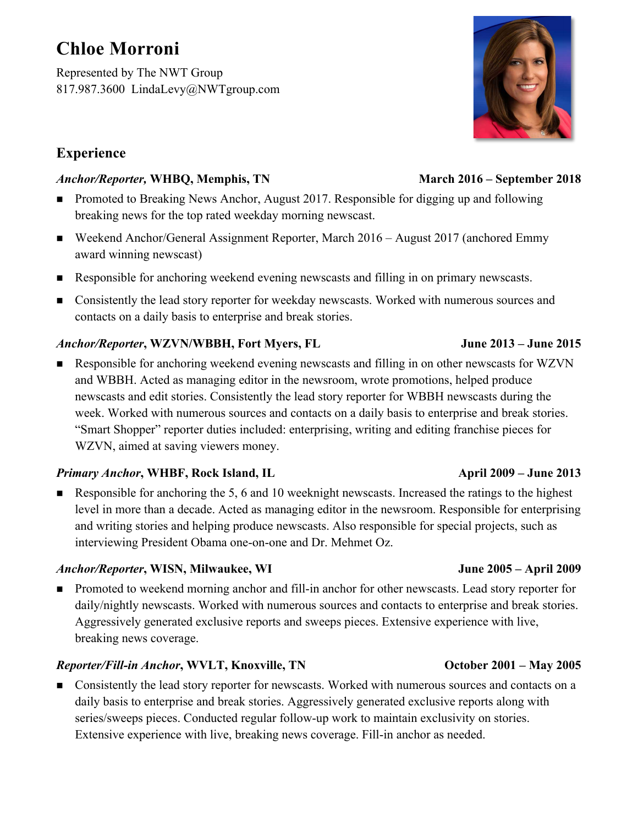# **Chloe Morroni**

Represented by The NWT Group 817.987.3600 LindaLevy@NWTgroup.com

# **Experience**

# *Anchor/Reporter,* **WHBQ, Memphis, TN March 2016 – September 2018**

- Promoted to Breaking News Anchor, August 2017. Responsible for digging up and following breaking news for the top rated weekday morning newscast.
- Weekend Anchor/General Assignment Reporter, March 2016 August 2017 (anchored Emmy award winning newscast)
- n Responsible for anchoring weekend evening newscasts and filling in on primary newscasts.
- n Consistently the lead story reporter for weekday newscasts. Worked with numerous sources and contacts on a daily basis to enterprise and break stories.

# *Anchor/Reporter***, WZVN/WBBH, Fort Myers, FL June 2013 – June 2015**

n Responsible for anchoring weekend evening newscasts and filling in on other newscasts for WZVN and WBBH. Acted as managing editor in the newsroom, wrote promotions, helped produce newscasts and edit stories. Consistently the lead story reporter for WBBH newscasts during the week. Worked with numerous sources and contacts on a daily basis to enterprise and break stories. "Smart Shopper" reporter duties included: enterprising, writing and editing franchise pieces for WZVN, aimed at saving viewers money.

### *Primary Anchor***, WHBF, Rock Island, IL April 2009 – June 2013**

Responsible for anchoring the 5, 6 and 10 weeknight newscasts. Increased the ratings to the highest level in more than a decade. Acted as managing editor in the newsroom. Responsible for enterprising and writing stories and helping produce newscasts. Also responsible for special projects, such as interviewing President Obama one-on-one and Dr. Mehmet Oz.

### *Anchor/Reporter***, WISN, Milwaukee, WI June 2005 – April 2009**

n Promoted to weekend morning anchor and fill-in anchor for other newscasts. Lead story reporter for daily/nightly newscasts. Worked with numerous sources and contacts to enterprise and break stories. Aggressively generated exclusive reports and sweeps pieces. Extensive experience with live, breaking news coverage.

# *Reporter/Fill-in Anchor***, WVLT, Knoxville, TN October 2001 – May 2005**

n Consistently the lead story reporter for newscasts. Worked with numerous sources and contacts on a daily basis to enterprise and break stories. Aggressively generated exclusive reports along with series/sweeps pieces. Conducted regular follow-up work to maintain exclusivity on stories. Extensive experience with live, breaking news coverage. Fill-in anchor as needed.

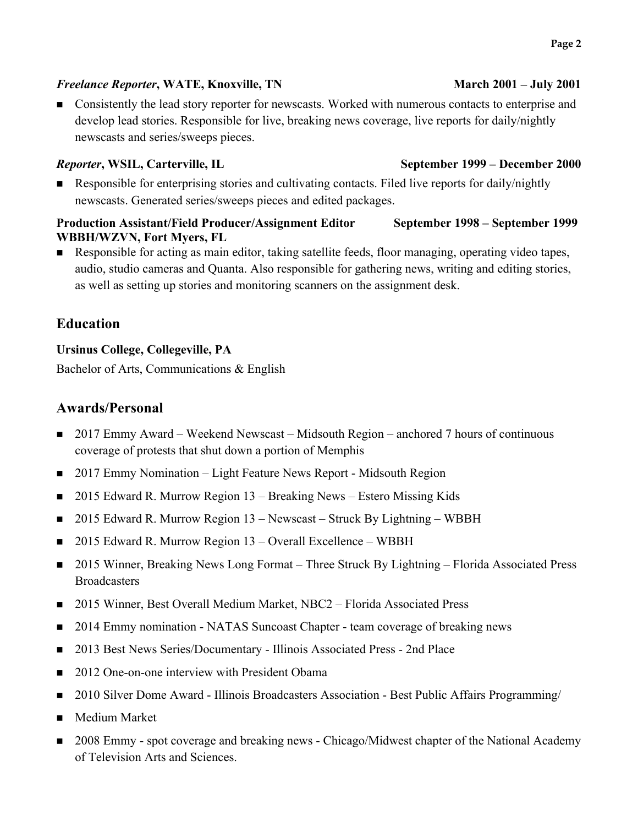### *Freelance Reporter***, WATE, Knoxville, TN March 2001 – July 2001**

n Consistently the lead story reporter for newscasts. Worked with numerous contacts to enterprise and develop lead stories. Responsible for live, breaking news coverage, live reports for daily/nightly newscasts and series/sweeps pieces.

**EXECUTE:** Responsible for enterprising stories and cultivating contacts. Filed live reports for daily/nightly newscasts. Generated series/sweeps pieces and edited packages.

### **Production Assistant/Field Producer/Assignment Editor September 1998 – September 1999 WBBH/WZVN, Fort Myers, FL**

**n** Responsible for acting as main editor, taking satellite feeds, floor managing, operating video tapes, audio, studio cameras and Quanta. Also responsible for gathering news, writing and editing stories, as well as setting up stories and monitoring scanners on the assignment desk.

# **Education**

### **Ursinus College, Collegeville, PA**

Bachelor of Arts, Communications & English

# **Awards/Personal**

- 2017 Emmy Award Weekend Newscast Midsouth Region anchored 7 hours of continuous coverage of protests that shut down a portion of Memphis
- n 2017 Emmy Nomination Light Feature News Report Midsouth Region
- 2015 Edward R. Murrow Region 13 Breaking News Estero Missing Kids
- 2015 Edward R. Murrow Region 13 Newscast Struck By Lightning WBBH
- n 2015 Edward R. Murrow Region 13 Overall Excellence WBBH
- 2015 Winner, Breaking News Long Format Three Struck By Lightning Florida Associated Press **Broadcasters**
- 2015 Winner, Best Overall Medium Market, NBC2 Florida Associated Press
- 2014 Emmy nomination NATAS Suncoast Chapter team coverage of breaking news
- n 2013 Best News Series/Documentary Illinois Associated Press 2nd Place
- 2012 One-on-one interview with President Obama
- n 2010 Silver Dome Award Illinois Broadcasters Association Best Public Affairs Programming/
- Medium Market
- n 2008 Emmy spot coverage and breaking news Chicago/Midwest chapter of the National Academy of Television Arts and Sciences.

### *Reporter***, WSIL, Carterville, IL September 1999 – December 2000**